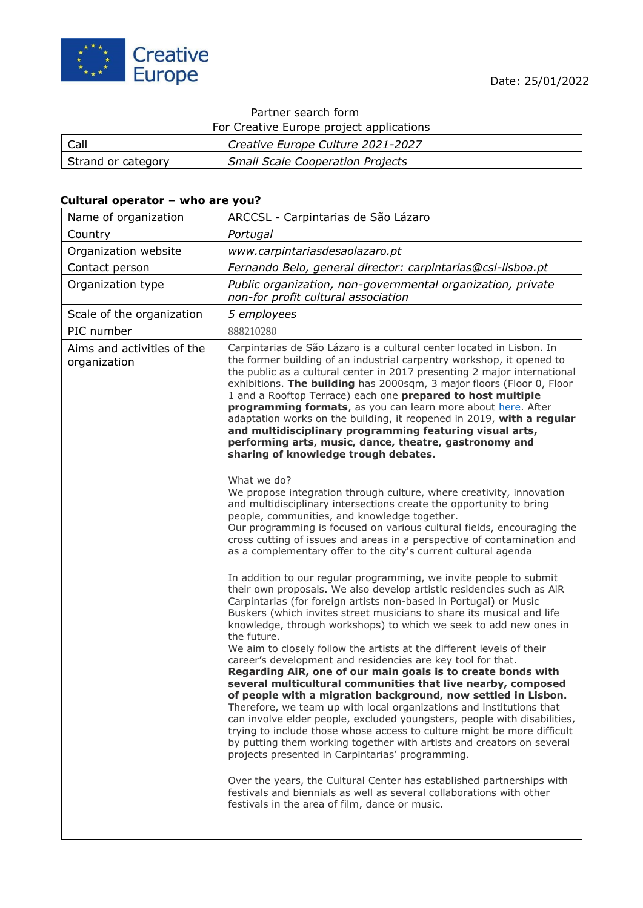

# Partner search form

For Creative Europe project applications

| Call               | <sup>1</sup> Creative Europe Culture 2021-2027 |
|--------------------|------------------------------------------------|
| Strand or category | <b>Small Scale Cooperation Projects</b>        |

### **Cultural operator – who are you?**

| Name of organization                       | ARCCSL - Carpintarias de São Lázaro                                                                                                                                                                                                                                                                                                                                                                                                                                                                                                                                                                                                                                                                                                                                                                                                                                                                                                                                                                                                                                                                                                                                                                                                                                                   |
|--------------------------------------------|---------------------------------------------------------------------------------------------------------------------------------------------------------------------------------------------------------------------------------------------------------------------------------------------------------------------------------------------------------------------------------------------------------------------------------------------------------------------------------------------------------------------------------------------------------------------------------------------------------------------------------------------------------------------------------------------------------------------------------------------------------------------------------------------------------------------------------------------------------------------------------------------------------------------------------------------------------------------------------------------------------------------------------------------------------------------------------------------------------------------------------------------------------------------------------------------------------------------------------------------------------------------------------------|
| Country                                    | Portugal                                                                                                                                                                                                                                                                                                                                                                                                                                                                                                                                                                                                                                                                                                                                                                                                                                                                                                                                                                                                                                                                                                                                                                                                                                                                              |
| Organization website                       | www.carpintariasdesaolazaro.pt                                                                                                                                                                                                                                                                                                                                                                                                                                                                                                                                                                                                                                                                                                                                                                                                                                                                                                                                                                                                                                                                                                                                                                                                                                                        |
| Contact person                             | Fernando Belo, general director: carpintarias@csl-lisboa.pt                                                                                                                                                                                                                                                                                                                                                                                                                                                                                                                                                                                                                                                                                                                                                                                                                                                                                                                                                                                                                                                                                                                                                                                                                           |
| Organization type                          | Public organization, non-governmental organization, private<br>non-for profit cultural association                                                                                                                                                                                                                                                                                                                                                                                                                                                                                                                                                                                                                                                                                                                                                                                                                                                                                                                                                                                                                                                                                                                                                                                    |
| Scale of the organization                  | 5 employees                                                                                                                                                                                                                                                                                                                                                                                                                                                                                                                                                                                                                                                                                                                                                                                                                                                                                                                                                                                                                                                                                                                                                                                                                                                                           |
| PIC number                                 | 888210280                                                                                                                                                                                                                                                                                                                                                                                                                                                                                                                                                                                                                                                                                                                                                                                                                                                                                                                                                                                                                                                                                                                                                                                                                                                                             |
| Aims and activities of the<br>organization | Carpintarias de São Lázaro is a cultural center located in Lisbon. In<br>the former building of an industrial carpentry workshop, it opened to<br>the public as a cultural center in 2017 presenting 2 major international<br>exhibitions. The building has 2000sqm, 3 major floors (Floor 0, Floor<br>1 and a Rooftop Terrace) each one prepared to host multiple<br>programming formats, as you can learn more about here. After<br>adaptation works on the building, it reopened in 2019, with a regular<br>and multidisciplinary programming featuring visual arts,<br>performing arts, music, dance, theatre, gastronomy and<br>sharing of knowledge trough debates.                                                                                                                                                                                                                                                                                                                                                                                                                                                                                                                                                                                                             |
|                                            | What we do?<br>We propose integration through culture, where creativity, innovation<br>and multidisciplinary intersections create the opportunity to bring<br>people, communities, and knowledge together.<br>Our programming is focused on various cultural fields, encouraging the<br>cross cutting of issues and areas in a perspective of contamination and<br>as a complementary offer to the city's current cultural agenda                                                                                                                                                                                                                                                                                                                                                                                                                                                                                                                                                                                                                                                                                                                                                                                                                                                     |
|                                            | In addition to our regular programming, we invite people to submit<br>their own proposals. We also develop artistic residencies such as AiR<br>Carpintarias (for foreign artists non-based in Portugal) or Music<br>Buskers (which invites street musicians to share its musical and life<br>knowledge, through workshops) to which we seek to add new ones in<br>the future.<br>We aim to closely follow the artists at the different levels of their<br>career's development and residencies are key tool for that.<br>Regarding AiR, one of our main goals is to create bonds with<br>several multicultural communities that live nearby, composed<br>of people with a migration background, now settled in Lisbon.<br>Therefore, we team up with local organizations and institutions that<br>can involve elder people, excluded youngsters, people with disabilities,<br>trying to include those whose access to culture might be more difficult<br>by putting them working together with artists and creators on several<br>projects presented in Carpintarias' programming.<br>Over the years, the Cultural Center has established partnerships with<br>festivals and biennials as well as several collaborations with other<br>festivals in the area of film, dance or music. |